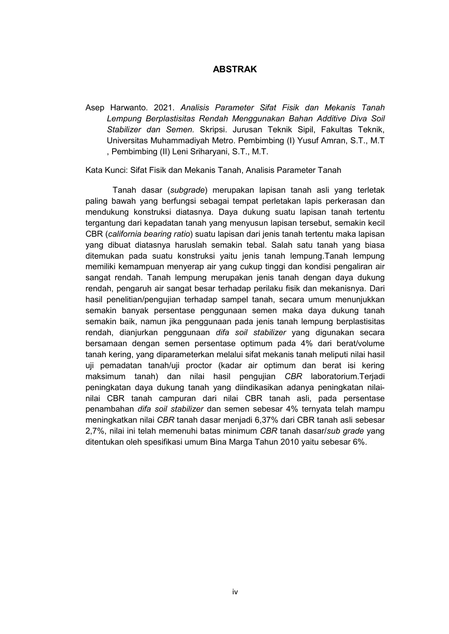## **ABSTRAK**

Asep Harwanto. 2021. *Analisis Parameter Sifat Fisik dan Mekanis Tanah Lempung Berplastisitas Rendah Menggunakan Bahan Additive Diva Soil Stabilizer dan Semen.* Skripsi. Jurusan Teknik Sipil, Fakultas Teknik, Universitas Muhammadiyah Metro. Pembimbing (I) Yusuf Amran, S.T., M.T , Pembimbing (II) Leni Sriharyani, S.T., M.T.

Kata Kunci: Sifat Fisik dan Mekanis Tanah, Analisis Parameter Tanah

Tanah dasar (*subgrade*) merupakan lapisan tanah asli yang terletak paling bawah yang berfungsi sebagai tempat perletakan lapis perkerasan dan mendukung konstruksi diatasnya. Daya dukung suatu lapisan tanah tertentu tergantung dari kepadatan tanah yang menyusun lapisan tersebut, semakin kecil CBR (*california bearing ratio*) suatu lapisan dari jenis tanah tertentu maka lapisan yang dibuat diatasnya haruslah semakin tebal. Salah satu tanah yang biasa ditemukan pada suatu konstruksi yaitu jenis tanah lempung.Tanah lempung memiliki kemampuan menyerap air yang cukup tinggi dan kondisi pengaliran air sangat rendah. Tanah lempung merupakan jenis tanah dengan daya dukung rendah, pengaruh air sangat besar terhadap perilaku fisik dan mekanisnya. Dari hasil penelitian/pengujian terhadap sampel tanah, secara umum menunjukkan semakin banyak persentase penggunaan semen maka daya dukung tanah semakin baik, namun jika penggunaan pada jenis tanah lempung berplastisitas rendah, dianjurkan penggunaan *difa soil stabilizer* yang digunakan secara bersamaan dengan semen persentase optimum pada 4% dari berat/volume tanah kering, yang diparameterkan melalui sifat mekanis tanah meliputi nilai hasil uji pemadatan tanah/uji proctor (kadar air optimum dan berat isi kering maksimum tanah) dan nilai hasil pengujian *CBR* laboratorium.Terjadi peningkatan daya dukung tanah yang diindikasikan adanya peningkatan nilai nilai CBR tanah campuran dari nilai CBR tanah asli, pada persentase penambahan *difa soil stabilizer* dan semen sebesar 4% ternyata telah mampu meningkatkan nilai *CBR* tanah dasar menjadi 6,37% dari CBR tanah asli sebesar 2,7%, nilai ini telah memenuhi batas minimum *CBR* tanah dasar/*sub grade* yang ditentukan oleh spesifikasi umum Bina Marga Tahun 2010 yaitu sebesar 6%.